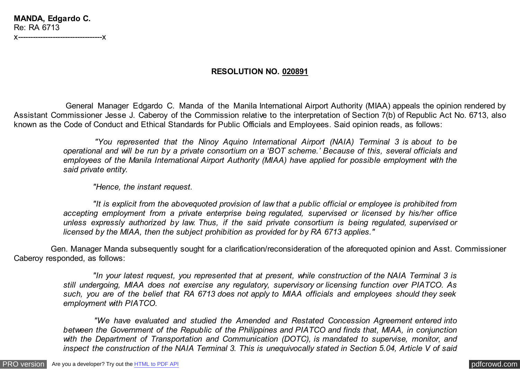## **MANDA, Edgardo C.** Re: RA 6713 x----------------------------------x

## **RESOLUTION NO. 020891**

 General Manager Edgardo C. Manda of the Manila International Airport Authority (MIAA) appeals the opinion rendered by Assistant Commissioner Jesse J. Caberoy of the Commission relative to the interpretation of Section 7(b) of Republic Act No. 6713, also known as the Code of Conduct and Ethical Standards for Public Officials and Employees. Said opinion reads, as follows:

 *"You represented that the Ninoy Aquino International Airport (NAIA) Terminal 3 is about to be operational and will be run by a private consortium on a 'BOT scheme.' Because of this, several officials and employees of the Manila International Airport Authority (MIAA) have applied for possible employment with the said private entity.*

 *"Hence, the instant request.*

 *"It is explicit from the abovequoted provision of law that a public official or employee is prohibited from accepting employment from a private enterprise being regulated, supervised or licensed by his/her office unless expressly authorized by law. Thus, if the said private consortium is being regulated, supervised or licensed by the MIAA, then the subject prohibition as provided for by RA 6713 applies."*

 Gen. Manager Manda subsequently sought for a clarification/reconsideration of the aforequoted opinion and Asst. Commissioner Caberoy responded, as follows:

 *"In your latest request, you represented that at present, while construction of the NAIA Terminal 3 is still undergoing, MIAA does not exercise any regulatory, supervisory or licensing function over PIATCO. As such, you are of the belief that RA 6713 does not apply to MIAA officials and employees should they seek employment with PIATCO.*

 *"We have evaluated and studied the Amended and Restated Concession Agreement entered into between the Government of the Republic of the Philippines and PIATCO and finds that, MIAA, in conjunction with the Department of Transportation and Communication (DOTC), is mandated to supervise, monitor, and inspect the construction of the NAIA Terminal 3. This is unequivocally stated in Section 5.04, Article V of said*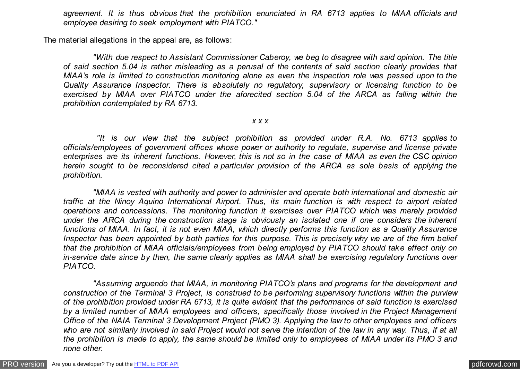*agreement. It is thus obvious that the prohibition enunciated in RA 6713 applies to MIAA officials and employee desiring to seek employment with PIATCO."*

The material allegations in the appeal are, as follows:

 *"With due respect to Assistant Commissioner Caberoy, we beg to disagree with said opinion. The title of said section 5.04 is rather misleading as a perusal of the contents of said section clearly provides that MIAA's role is limited to construction monitoring alone as even the inspection role was passed upon to the Quality Assurance Inspector. There is absolutely no regulatory, supervisory or licensing function to be exercised by MIAA over PIATCO under the aforecited section 5.04 of the ARCA as falling within the prohibition contemplated by RA 6713.*

*x x x*

 *"It is our view that the subject prohibition as provided under R.A. No. 6713 applies to officials/employees of government offices whose power or authority to regulate, supervise and license private enterprises are its inherent functions. However, this is not so in the case of MIAA as even the CSC opinion herein sought to be reconsidered cited a particular provision of the ARCA as sole basis of applying the prohibition.*

 *"MIAA is vested with authority and power to administer and operate both international and domestic air traffic at the Ninoy Aquino International Airport. Thus, its main function is with respect to airport related operations and concessions. The monitoring function it exercises over PIATCO which was merely provided under the ARCA during the construction stage is obviously an isolated one if one considers the inherent functions of MIAA. In fact, it is not even MIAA, which directly performs this function as a Quality Assurance Inspector has been appointed by both parties for this purpose. This is precisely why we are of the firm belief that the prohibition of MIAA officials/employees from being employed by PIATCO should take effect only on in-service date since by then, the same clearly applies as MIAA shall be exercising regulatory functions over PIATCO.*

 *"Assuming arguendo that MIAA, in monitoring PIATCO's plans and programs for the development and construction of the Terminal 3 Project, is construed to be performing supervisory functions within the purview of the prohibition provided under RA 6713, it is quite evident that the performance of said function is exercised by a limited number of MIAA employees and officers, specifically those involved in the Project Management Office of the NAIA Terminal 3 Development Project (PMO 3). Applying the law to other employees and officers* who are not similarly involved in said Project would not serve the intention of the law in any way. Thus, if at all *the prohibition is made to apply, the same should be limited only to employees of MIAA under its PMO 3 and none other.*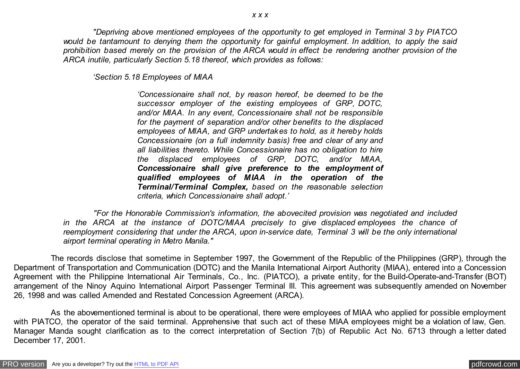*"Depriving above mentioned employees of the opportunity to get employed in Terminal 3 by PIATCO would be tantamount to denying them the opportunity for gainful employment. In addition, to apply the said prohibition based merely on the provision of the ARCA would in effect be rendering another provision of the ARCA inutile, particularly Section 5.18 thereof, which provides as follows:*

 *'Section 5.18 Employees of MIAA*

*'Concessionaire shall not, by reason hereof, be deemed to be the successor employer of the existing employees of GRP, DOTC, and/or MIAA. In any event, Concessionaire shall not be responsible for the payment of separation and/or other benefits to the displaced employees of MIAA, and GRP undertakes to hold, as it hereby holds Concessionaire (on a full indemnity basis) free and clear of any and all liabilities thereto. While Concessionaire has no obligation to hire the displaced employees of GRP, DOTC, and/or MIAA, Concessionaire shall give preference to the employment of qualified employees of MIAA in the operation of the Terminal/Terminal Complex, based on the reasonable selection criteria, which Concessionaire shall adopt.'*

 *"For the Honorable Commission's information, the abovecited provision was negotiated and included in the ARCA at the instance of DOTC/MIAA precisely to give displaced employees the chance of reemployment considering that under the ARCA, upon in-service date, Terminal 3 will be the only international airport terminal operating in Metro Manila."*

 The records disclose that sometime in September 1997, the Government of the Republic of the Philippines (GRP), through the Department of Transportation and Communication (DOTC) and the Manila International Airport Authority (MIAA), entered into a Concession Agreement with the Philippine International Air Terminals, Co., Inc. (PIATCO), a private entity, for the Build-Operate-and-Transfer (BOT) arrangement of the Ninoy Aquino International Airport Passenger Terminal III. This agreement was subsequently amended on November 26, 1998 and was called Amended and Restated Concession Agreement (ARCA).

 As the abovementioned terminal is about to be operational, there were employees of MIAA who applied for possible employment with PIATCO, the operator of the said terminal. Apprehensive that such act of these MIAA employees might be a violation of law, Gen. Manager Manda sought clarification as to the correct interpretation of Section 7(b) of Republic Act No. 6713 through a letter dated December 17, 2001.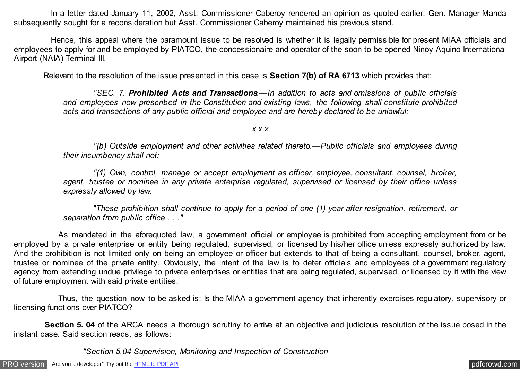In a letter dated January 11, 2002, Asst. Commissioner Caberoy rendered an opinion as quoted earlier. Gen. Manager Manda subsequently sought for a reconsideration but Asst. Commissioner Caberoy maintained his previous stand.

 Hence, this appeal where the paramount issue to be resolved is whether it is legally permissible for present MIAA officials and employees to apply for and be employed by PIATCO, the concessionaire and operator of the soon to be opened Ninoy Aquino International Airport (NAIA) Terminal III.

Relevant to the resolution of the issue presented in this case is **Section 7(b) of RA 6713** which provides that:

 *"SEC. 7. Prohibited Acts and Transactions.—In addition to acts and omissions of public officials and employees now prescribed in the Constitution and existing laws, the following shall constitute prohibited acts and transactions of any public official and employee and are hereby declared to be unlawful:*

*x x x*

 *"(b) Outside employment and other activities related thereto.—Public officials and employees during their incumbency shall not:*

 *"(1) Own, control, manage or accept employment as officer, employee, consultant, counsel, broker, agent, trustee or nominee in any private enterprise regulated, supervised or licensed by their office unless expressly allowed by law;*

 *"These prohibition shall continue to apply for a period of one (1) year after resignation, retirement, or separation from public office . . ."*

 As mandated in the aforequoted law, a government official or employee is prohibited from accepting employment from or be employed by a private enterprise or entity being regulated, supervised, or licensed by his/her office unless expressly authorized by law. And the prohibition is not limited only on being an employee or officer but extends to that of being a consultant, counsel, broker, agent, trustee or nominee of the private entity. Obviously, the intent of the law is to deter officials and employees of a government regulatory agency from extending undue privilege to private enterprises or entities that are being regulated, supervised, or licensed by it with the view of future employment with said private entities.

 Thus, the question now to be asked is: Is the MIAA a government agency that inherently exercises regulatory, supervisory or licensing functions over PIATCO?

**Section 5. 04** of the ARCA needs a thorough scrutiny to arrive at an objective and judicious resolution of the issue posed in the instant case. Said section reads, as follows:

 *"Section 5.04 Supervision, Monitoring and Inspection of Construction*

[PRO version](http://pdfcrowd.com/customize/) Are you a developer? Try out th[e HTML to PDF API](http://pdfcrowd.com/html-to-pdf-api/?ref=pdf) process and the community of the HTML to PDF API posterior and the community of the community of the community of the community of the community of the community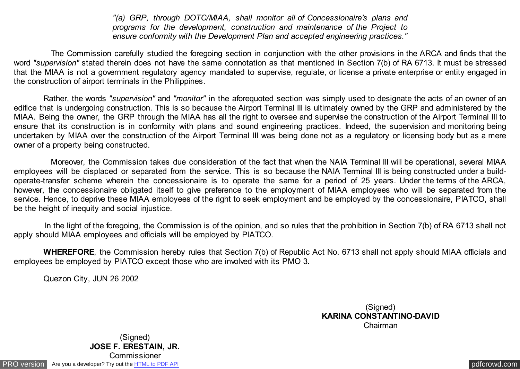*"(a) GRP, through DOTC/MIAA, shall monitor all of Concessionaire's plans and programs for the development, construction and maintenance of the Project to ensure conformity with the Development Plan and accepted engineering practices."*

 The Commission carefully studied the foregoing section in conjunction with the other provisions in the ARCA and finds that the word *"supervision"* stated therein does not have the same connotation as that mentioned in Section 7(b) of RA 6713. It must be stressed that the MIAA is not a government regulatory agency mandated to supervise, regulate, or license a private enterprise or entity engaged in the construction of airport terminals in the Philippines.

 Rather, the words *"supervision"* and *"monitor"* in the aforequoted section was simply used to designate the acts of an owner of an edifice that is undergoing construction. This is so because the Airport Terminal III is ultimately owned by the GRP and administered by the MIAA. Being the owner, the GRP through the MIAA has all the right to oversee and supervise the construction of the Airport Terminal III to ensure that its construction is in conformity with plans and sound engineering practices. Indeed, the supervision and monitoring being undertaken by MIAA over the construction of the Airport Terminal III was being done not as a regulatory or licensing body but as a mere owner of a property being constructed.

 Moreover, the Commission takes due consideration of the fact that when the NAIA Terminal III will be operational, several MIAA employees will be displaced or separated from the service. This is so because the NAIA Terminal III is being constructed under a buildoperate-transfer scheme wherein the concessionaire is to operate the same for a period of 25 years. Under the terms of the ARCA, however, the concessionaire obligated itself to give preference to the employment of MIAA employees who will be separated from the service. Hence, to deprive these MIAA employees of the right to seek employment and be employed by the concessionaire. PIATCO, shall be the height of inequity and social injustice.

In the light of the foregoing, the Commission is of the opinion, and so rules that the prohibition in Section 7(b) of RA 6713 shall not apply should MIAA employees and officials will be employed by PIATCO.

 **WHEREFORE**, the Commission hereby rules that Section 7(b) of Republic Act No. 6713 shall not apply should MIAA officials and employees be employed by PIATCO except those who are involved with its PMO 3.

Quezon City, JUN 26 2002

(Signed) **KARINA CONSTANTINO-DAVID** Chairman

[PRO version](http://pdfcrowd.com/customize/) Are you a developer? Try out th[e HTML to PDF API](http://pdfcrowd.com/html-to-pdf-api/?ref=pdf) provided and the example of the HTML to PDF API [pdfcrowd.com](http://pdfcrowd.com) (Signed) **JOSE F. ERESTAIN, JR. Commissioner**